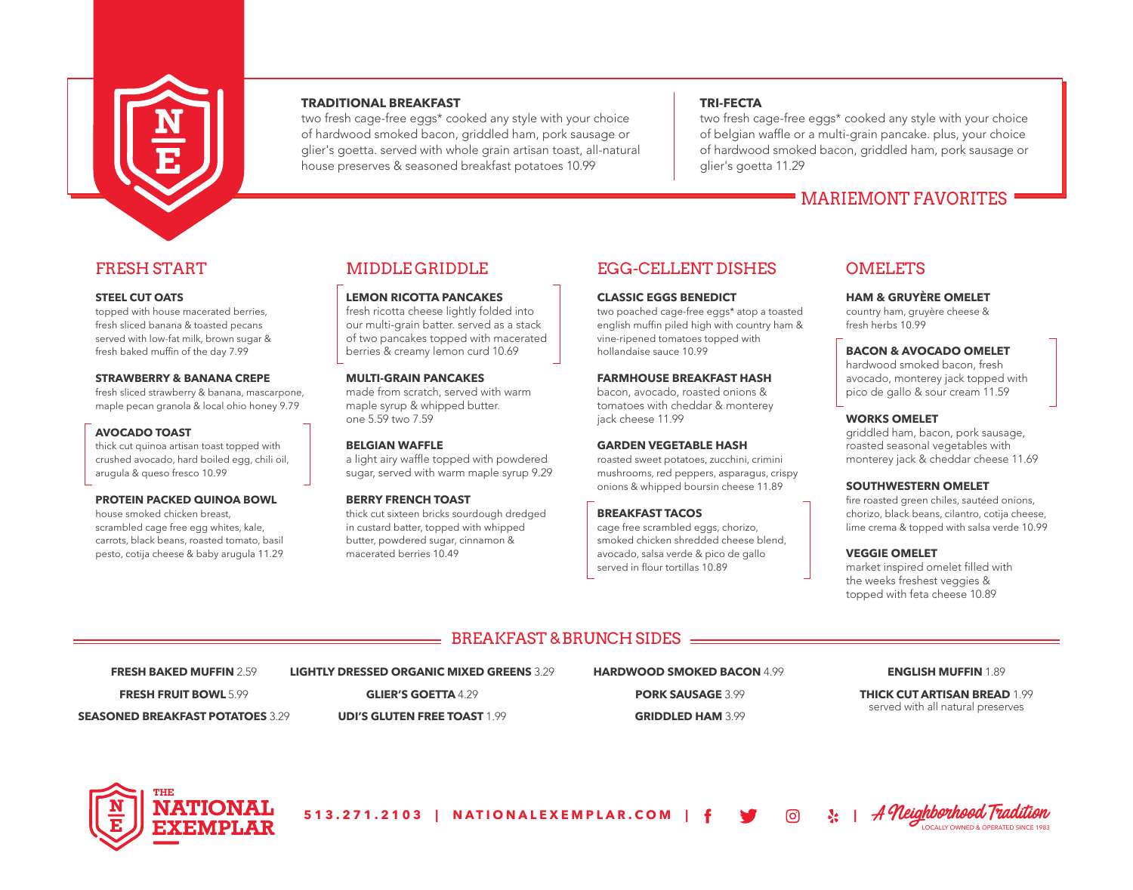

# **TRADITIONAL BREAKFAST**

two fresh cage-free eggs\* cooked any style with your choice of hardwood smoked bacon, griddled ham, pork sausage or glier's goetta. served with whole grain artisan toast, all-natural house preserves & seasoned breakfast potatoes 10.99

# **TRI-FECTA**

two fresh cage-free eggs\* cooked any style with your choice of belgian waffle or a multi-grain pancake. plus, your choice of hardwood smoked bacon, griddled ham, pork sausage or glier's goetta 11.29

# MARIEMONT FAVORITES

# FRESH START

### **STEEL CUT OATS**

topped with house macerated berries, fresh sliced banana & toasted pecans served with low-fat milk, brown sugar & fresh baked muffin of the day 7.99

### **STRAWBERRY & BANANA CREPE**

fresh sliced strawberry & banana, mascarpone, maple pecan granola & local ohio honey 9.79

# **AVOCADO TOAST**

thick cut quinoa artisan toast topped with crushed avocado, hard boiled egg, chili oil, arugula & queso fresco 10.99

### **PROTEIN PACKED QUINOA BOWL**

house smoked chicken breast, scrambled cage free egg whites, kale, carrots, black beans, roasted tomato, basil pesto, cotija cheese & baby arugula 11.29

# MIDDLE GRIDDLE

**LEMON RICOTTA PANCAKES** fresh ricotta cheese lightly folded into our multi-grain batter. served as a stack of two pancakes topped with macerated

# **MULTI-GRAIN PANCAKES**

made from scratch, served with warm maple syrup & whipped butter. one 5.59 two 7.59

berries & creamy lemon curd 10.69

# **BELGIAN WAFFLE**

a light airy waffle topped with powdered sugar, served with warm maple syrup 9.29

# **BERRY FRENCH TOAST**

thick cut sixteen bricks sourdough dredged in custard batter, topped with whipped butter, powdered sugar, cinnamon & macerated berries 10.49

# EGG-CELLENT DISHES

### **CLASSIC EGGS BENEDICT**

two poached cage-free eggs\* atop a toasted english muffin piled high with country ham & vine-ripened tomatoes topped with hollandaise sauce 10.99

### **FARMHOUSE BREAKFAST HASH**

bacon, avocado, roasted onions & tomatoes with cheddar & monterey jack cheese 11.99

# **GARDEN VEGETABLE HASH**

roasted sweet potatoes, zucchini, crimini mushrooms, red peppers, asparagus, crispy onions & whipped boursin cheese 11.89

# **BREAKFAST TACOS**

cage free scrambled eggs, chorizo, smoked chicken shredded cheese blend, avocado, salsa verde & pico de gallo served in flour tortillas 10.89

# **OMELETS**

### **HAM & GRUYÈRE OMELET**

country ham, gruyère cheese & fresh herbs 10.99

# **BACON & AVOCADO OMELET**

hardwood smoked bacon, fresh avocado, monterey jack topped with pico de gallo & sour cream 11.59

### **WORKS OMELET**

griddled ham, bacon, pork sausage, roasted seasonal vegetables with monterey jack & cheddar cheese 11.69

### **SOUTHWESTERN OMELET**

fire roasted green chiles, sautéed onions, chorizo, black beans, cilantro, cotija cheese, lime crema & topped with salsa verde 10.99

### **VEGGIE OMELET**

market inspired omelet filled with the weeks freshest veggies & topped with feta cheese 10.89

# BREAKFAST & BRUNCH SIDES

**FRESH BAKED MUFFIN** 2.59 **FRESH FRUIT BOWL** 5.99 **SEASONED BREAKFAST POTATOES** 3.29

**GLIER'S GOETTA** 4.29

**LIGHTLY DRESSED ORGANIC MIXED GREENS** 3.29

**UDI'S GLUTEN FREE TOAST** 1.99

**HARDWOOD SMOKED BACON** 4.99 **PORK SAUSAGE** 3.99 **GRIDDLED HAM** 3.99

### **ENGLISH MUFFIN** 1.89

**THICK CUT ARTISAN BREAD** 1.99 served with all natural preserves



513.271.2103 | NATIONALEXEMPLAR.COM

LOCALLY OWNED & OPERATED SINCE 1983